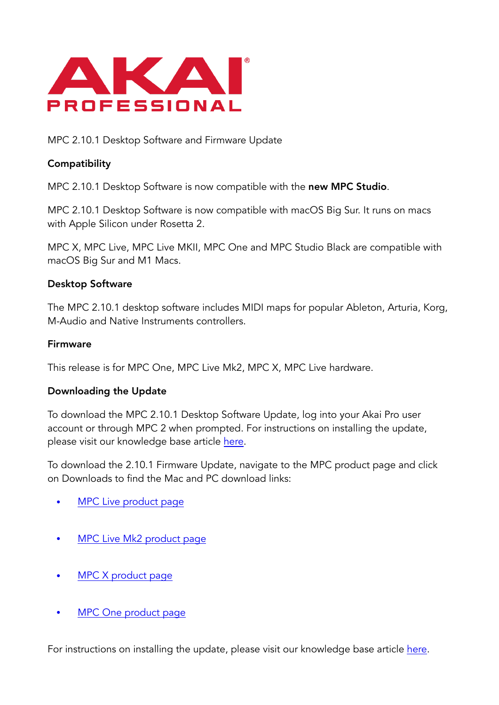

MPC 2.10.1 Desktop Software and Firmware Update

## **Compatibility**

MPC 2.10.1 Desktop Software is now compatible with the new MPC Studio.

MPC 2.10.1 Desktop Software is now compatible with macOS Big Sur. It runs on macs with Apple Silicon under Rosetta 2.

MPC X, MPC Live, MPC Live MKII, MPC One and MPC Studio Black are compatible with macOS Big Sur and M1 Macs.

### Desktop Software

The MPC 2.10.1 desktop software includes MIDI maps for popular Ableton, Arturia, Korg, M-Audio and Native Instruments controllers.

#### Firmware

This release is for MPC One, MPC Live Mk2, MPC X, MPC Live hardware.

#### Downloading the Update

To download the MPC 2.10.1 Desktop Software Update, log into your Akai Pro user account or through MPC 2 when prompted. For instructions on installing the update, please visit our knowledge base article [here.](https://www.akaipro.com/kb/akai-pro-mpc-x-and-mpc-live-firmware-update-2-3-walkthrough/)

To download the 2.10.1 Firmware Update, navigate to the MPC product page and click on Downloads to find the Mac and PC download links:

- [MPC Live product page](https://www.akaipro.com/mpc-live)
- [MPC Live Mk2 product page](https://www.akaipro.com/mpcliveii)
- [MPC X product page](https://www.akaipro.com/mpc-x)
- [MPC One product page](https://www.akaipro.com/mpc-one)

For instructions on installing the update, please visit our knowledge base article [here.](https://www.akaipro.com/kb/akai-pro-mpc-software-2-0-downloading-and-installing-the-mpc-2-2-update/)